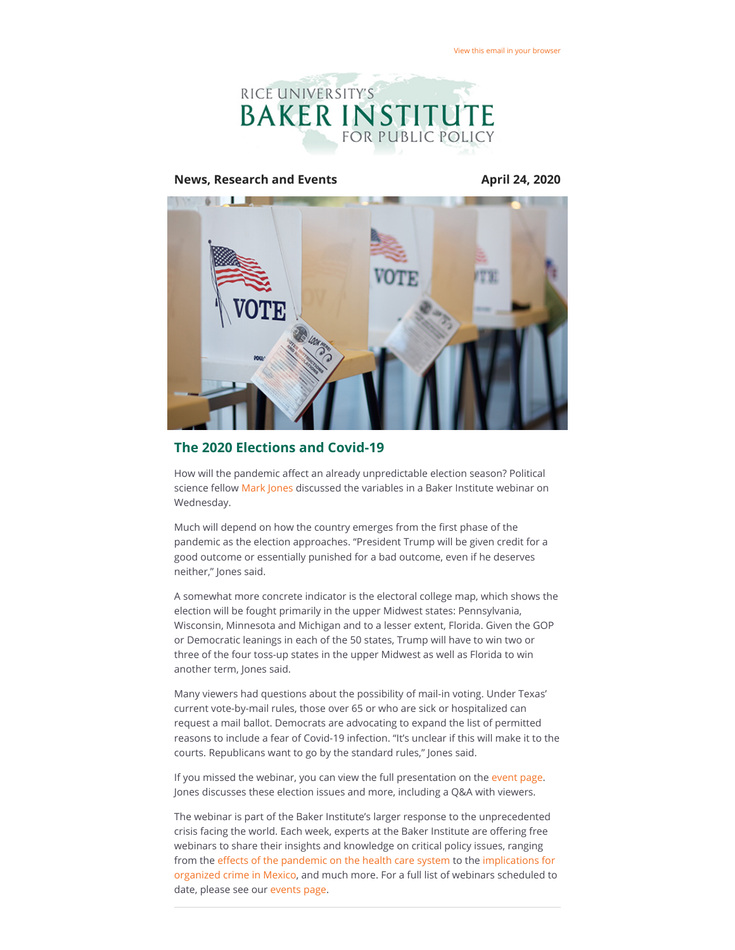

#### **News, Research and Events April 24, 2020**



### **The 2020 Elections and Covid-19**

How will the pandemic affect an already unpredictable election season? Political science fellow [Mark Jones](https://riceconnect.rice.edu/page.redir?target=https%3a%2f%2fwww.bakerinstitute.org%2fexperts%2fmark-p-jones%2f&srcid=131604&srctid=1&erid=2955e70b-e4ec-48c0-a35e-31902d558636&trid=2955e70b-e4ec-48c0-a35e-31902d558636) discussed the variables in a Baker Institute webinar on Wednesday.

Much will depend on how the country emerges from the first phase of the pandemic as the election approaches. "President Trump will be given credit for a good outcome or essentially punished for a bad outcome, even if he deserves neither," Jones said.

A somewhat more concrete indicator is the electoral college map, which shows the election will be fought primarily in the upper Midwest states: Pennsylvania, Wisconsin, Minnesota and Michigan and to a lesser extent, Florida. Given the GOP or Democratic leanings in each of the 50 states, Trump will have to win two or three of the four toss-up states in the upper Midwest as well as Florida to win another term, Jones said.

Many viewers had questions about the possibility of mail-in voting. Under Texas' current vote-by-mail rules, those over 65 or who are sick or hospitalized can request a mail ballot. Democrats are advocating to expand the list of permitted reasons to include a fear of Covid-19 infection. "It's unclear if this will make it to the courts. Republicans want to go by the standard rules," Jones said.

If you missed the webinar, you can view the full presentation on the [event page](https://riceconnect.rice.edu/page.redir?target=https%3a%2f%2fwww.bakerinstitute.org%2fevents%2f2077%2f&srcid=131604&srctid=1&erid=2955e70b-e4ec-48c0-a35e-31902d558636&trid=2955e70b-e4ec-48c0-a35e-31902d558636). Jones discusses these election issues and more, including a Q&A with viewers.

The webinar is part of the Baker Institute's larger response to the unprecedented crisis facing the world. Each week, experts at the Baker Institute are offering free webinars to share their insights and knowledge on critical policy issues, ranging from the effects of the pandemic on the health care system to the implications for [organized crime in Mexico, and much more. For a full list of webinars scheduled to](https://riceconnect.rice.edu/page.redir?target=https%3a%2f%2fwww.bakerinstitute.org%2fevents%2f2076%2f&srcid=131604&srctid=1&erid=2955e70b-e4ec-48c0-a35e-31902d558636&trid=2955e70b-e4ec-48c0-a35e-31902d558636) date, please see our [events page.](https://riceconnect.rice.edu/page.redir?target=https%3a%2f%2fwww.bakerinstitute.org%2fevents%2fsearch%2f&srcid=131604&srctid=1&erid=2955e70b-e4ec-48c0-a35e-31902d558636&trid=2955e70b-e4ec-48c0-a35e-31902d558636)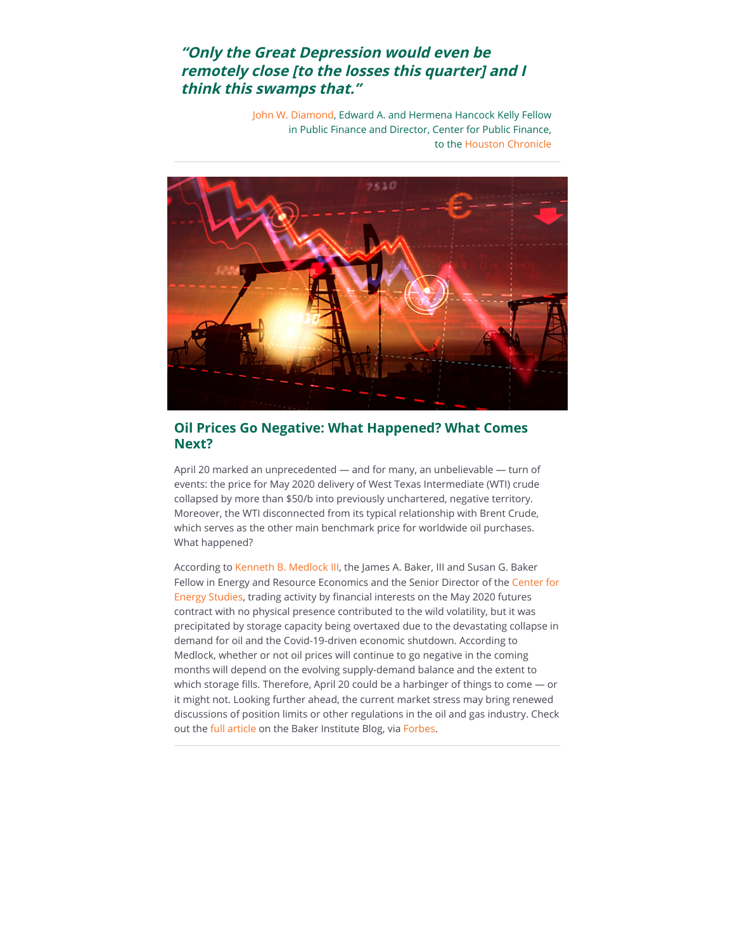# **"Only the Great Depression would even be remotely close [to the losses this quarter] and I think this swamps that."**

[John W. Diamond](https://riceconnect.rice.edu/page.redir?target=https%3a%2f%2fwww.bakerinstitute.org%2fexperts%2fjohn-w-diamond%2f&srcid=131604&srctid=1&erid=2955e70b-e4ec-48c0-a35e-31902d558636&trid=2955e70b-e4ec-48c0-a35e-31902d558636), Edward A. and Hermena Hancock Kelly Fellow in Public Finance and Director, Center for Public Finance, to the [Houston Chronicle](https://riceconnect.rice.edu/page.redir?target=https%3a%2f%2fwww.houstonchronicle.com%2fbusiness%2feconomy%2farticle%2fcoronavirus-shutdown-risk-depression-houston-texas-15191785.php&srcid=131604&srctid=1&erid=2955e70b-e4ec-48c0-a35e-31902d558636&trid=2955e70b-e4ec-48c0-a35e-31902d558636) 



## **Oil Prices Go Negative: What Happened? What Comes Next?**

April 20 marked an unprecedented — and for many, an unbelievable — turn of events: the price for May 2020 delivery of West Texas Intermediate (WTI) crude collapsed by more than \$50/b into previously unchartered, negative territory. Moreover, the WTI disconnected from its typical relationship with Brent Crude, which serves as the other main benchmark price for worldwide oil purchases. What happened?

According to [Kenneth B. Medlock III](https://riceconnect.rice.edu/page.redir?target=https%3a%2f%2fwww.bakerinstitute.org%2fexperts%2fkenneth-b-medlock-iii%2f&srcid=131604&srctid=1&erid=2955e70b-e4ec-48c0-a35e-31902d558636&trid=2955e70b-e4ec-48c0-a35e-31902d558636), the James A. Baker, III and Susan G. Baker [Fellow in Energy and Resource Economics and the Senior Director of the Center for](https://riceconnect.rice.edu/page.redir?target=https%3a%2f%2fwww.bakerinstitute.org%2fcenter-for-energy-studies%2f&srcid=131604&srctid=1&erid=2955e70b-e4ec-48c0-a35e-31902d558636&trid=2955e70b-e4ec-48c0-a35e-31902d558636) Energy Studies, trading activity by financial interests on the May 2020 futures contract with no physical presence contributed to the wild volatility, but it was precipitated by storage capacity being overtaxed due to the devastating collapse in demand for oil and the Covid-19-driven economic shutdown. According to Medlock, whether or not oil prices will continue to go negative in the coming months will depend on the evolving supply-demand balance and the extent to which storage fills. Therefore, April 20 could be a harbinger of things to come - or it might not. Looking further ahead, the current market stress may bring renewed discussions of position limits or other regulations in the oil and gas industry. Check out the [full article](https://riceconnect.rice.edu/page.redir?target=http%3a%2f%2fblog.bakerinstitute.org%2f2020%2f04%2f21%2fapril-20-wti-at-37-brent-at-26-what-happened-what-comes-next-the-stories-that-will-be-told%2f&srcid=131604&srctid=1&erid=2955e70b-e4ec-48c0-a35e-31902d558636&trid=2955e70b-e4ec-48c0-a35e-31902d558636) on the Baker Institute Blog, via [Forbes.](https://riceconnect.rice.edu/page.redir?target=https%3a%2f%2fwww.forbes.com%2fsites%2fthebakersinstitute%2f2020%2f04%2f21%2fapril-20-wti-at37-brent-at-26-what-happened-what-comes-next-the-stories-that-will-be-told%2f%237f28bd134d4b&srcid=131604&srctid=1&erid=2955e70b-e4ec-48c0-a35e-31902d558636&trid=2955e70b-e4ec-48c0-a35e-31902d558636)